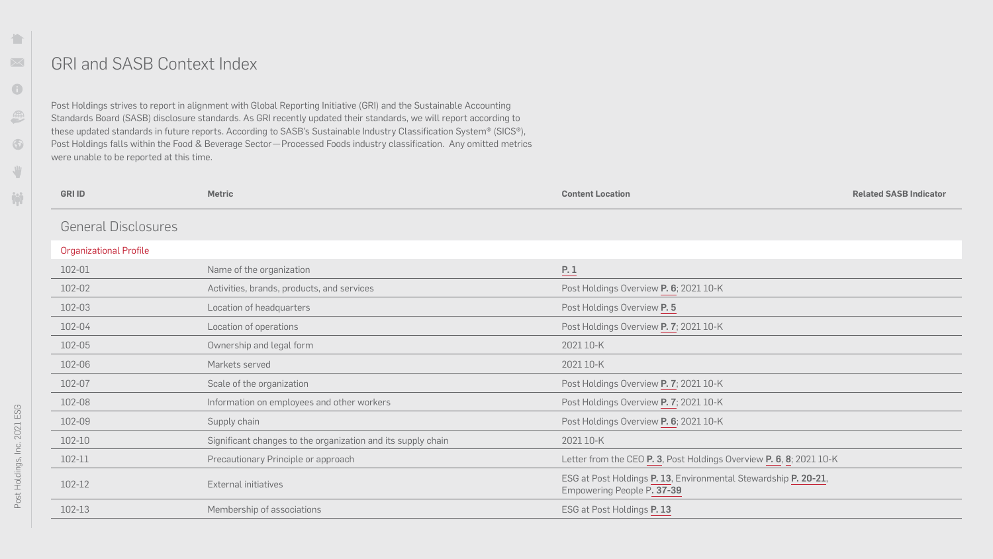## GRI and SASB Context Index

| <b>GRI ID</b>                 | <b>Metric</b>                                                | <b>Content Location</b>                                                                       |
|-------------------------------|--------------------------------------------------------------|-----------------------------------------------------------------------------------------------|
| <b>General Disclosures</b>    |                                                              |                                                                                               |
| <b>Organizational Profile</b> |                                                              |                                                                                               |
| 102-01                        | Name of the organization                                     | P. 1                                                                                          |
| 102-02                        | Activities, brands, products, and services                   | Post Holdings Overview P. 6; 2021 10-K                                                        |
| 102-03                        | Location of headquarters                                     | Post Holdings Overview P. 5                                                                   |
| 102-04                        | Location of operations                                       | Post Holdings Overview P. 7; 2021 10-K                                                        |
| 102-05                        | Ownership and legal form                                     | 2021 10-K                                                                                     |
| 102-06                        | Markets served                                               | 2021 10-K                                                                                     |
| 102-07                        | Scale of the organization                                    | Post Holdings Overview P. 7; 2021 10-K                                                        |
| 102-08                        | Information on employees and other workers                   | Post Holdings Overview P. 7; 2021 10-K                                                        |
| 102-09                        | Supply chain                                                 | Post Holdings Overview P. 6; 2021 10-K                                                        |
| 102-10                        | Significant changes to the organization and its supply chain | 2021 10-K                                                                                     |
| 102-11                        | Precautionary Principle or approach                          | Letter from the CEO P. 3, Post Holdings Overview P. 6, 8; 2021 10-K                           |
| 102-12                        | <b>External initiatives</b>                                  | ESG at Post Holdings P. 13, Environmental Stewardship P. 20-21,<br>Empowering People P. 37-39 |
| 102-13                        | Membership of associations                                   | ESG at Post Holdings P. 13                                                                    |

 $\mathbf{r}$ 

**Related SASB Indicator** 

Post Holdings strives to report in alignment with Global Reporting Initiative (GRI) and the Sustainable Accounting Standards Board (SASB) disclosure standards. As GRI recently updated their standards, we will report according to these updated standards in future reports. According to SASB's Sustainable Industry Classification System® (SICS®), Post Holdings falls within the Food & Beverage Sector—Processed Foods industry classification. Any omitted metrics were unable to be reported at this time.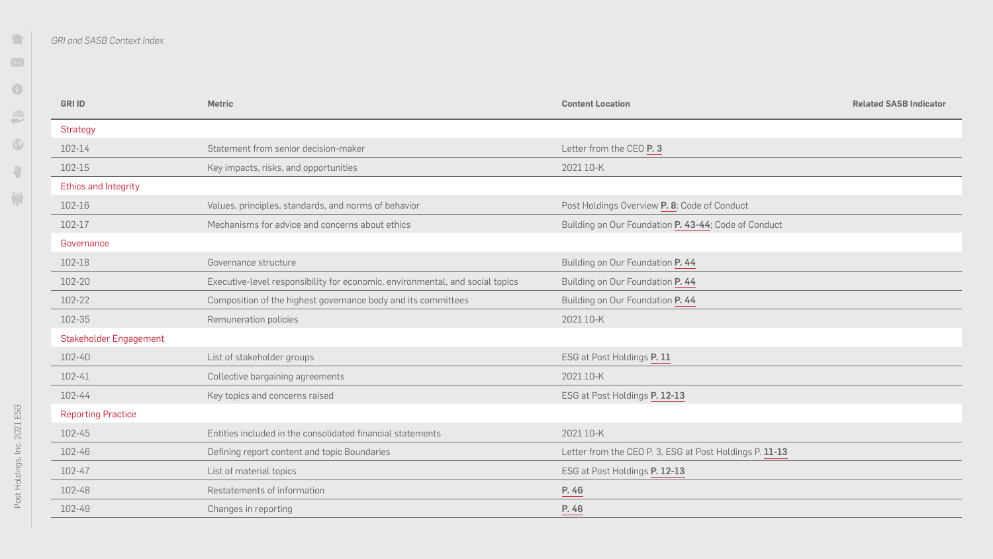$\blacksquare$ 

 $\blacksquare$ 

| <b>GRI ID</b>             | <b>Metric</b>                                                                 | <b>Content Location</b>                                 | <b>Related SASB Indicator</b> |
|---------------------------|-------------------------------------------------------------------------------|---------------------------------------------------------|-------------------------------|
| <b>Strategy</b>           |                                                                               |                                                         |                               |
| 102-14                    | Statement from senior decision-maker                                          | Letter from the CEO P. 3                                |                               |
| 102-15                    | Key impacts, risks, and opportunities                                         | 2021 10-K                                               |                               |
| Ethics and Integrity      |                                                                               |                                                         |                               |
| 102-16                    | Values, principles, standards, and norms of behavior                          | Post Holdings Overview P. 8; Code of Conduct            |                               |
| 102-17                    | Mechanisms for advice and concerns about ethics                               | Building on Our Foundation P. 43-44; Code of Conduct    |                               |
| Governance                |                                                                               |                                                         |                               |
| 102-18                    | Governance structure                                                          | Building on Our Foundation P. 44                        |                               |
| 102-20                    | Executive-level responsibility for economic, environmental, and social topics | Building on Our Foundation P. 44                        |                               |
| 102-22                    | Composition of the highest governance body and its committees                 | Building on Our Foundation P. 44                        |                               |
| 102-35                    | Remuneration policies                                                         | 2021 10-K                                               |                               |
| Stakeholder Engagement    |                                                                               |                                                         |                               |
| 102-40                    | List of stakeholder groups                                                    | ESG at Post Holdings P. 11                              |                               |
| 102-41                    | Collective bargaining agreements                                              | 2021 10-K                                               |                               |
| 102-44                    | Key topics and concerns raised                                                | ESG at Post Holdings P. 12-13                           |                               |
| <b>Reporting Practice</b> |                                                                               |                                                         |                               |
| 102-45                    | Entities included in the consolidated financial statements                    | 2021 10-K                                               |                               |
| 102-46                    | Defining report content and topic Boundaries                                  | Letter from the CEO P. 3, ESG at Post Holdings P. 11-13 |                               |
| 102-47                    | List of material topics                                                       | ESG at Post Holdings P. 12-13                           |                               |
| 102-48                    | Restatements of information                                                   | P. 46                                                   |                               |
| 102-49                    | Changes in reporting                                                          | P. 46                                                   |                               |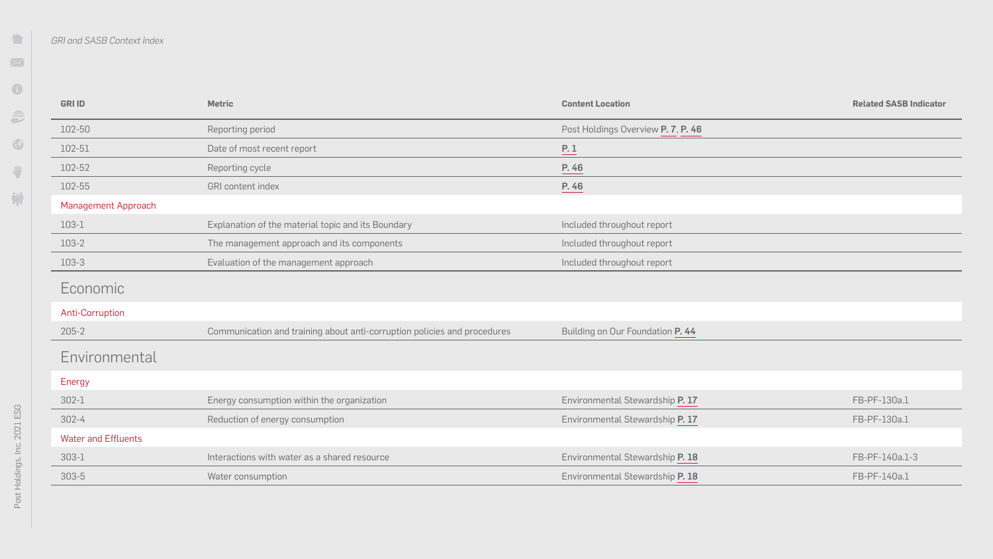$\blacksquare$ 

| <b>GRI ID</b>              | <b>Metric</b>                                                            | <b>Content Location</b>            | <b>Related SASB Ind</b> |
|----------------------------|--------------------------------------------------------------------------|------------------------------------|-------------------------|
| 102-50                     | Reporting period                                                         | Post Holdings Overview P. 7, P. 46 |                         |
| 102-51                     | Date of most recent report                                               | P.1                                |                         |
| 102-52                     | Reporting cycle                                                          | P. 46                              |                         |
| 102-55                     | GRI content index                                                        | P. 46                              |                         |
| <b>Management Approach</b> |                                                                          |                                    |                         |
| 103-1                      | Explanation of the material topic and its Boundary                       | Included throughout report         |                         |
| 103-2                      | The management approach and its components                               | Included throughout report         |                         |
| 103-3                      | Evaluation of the management approach                                    | Included throughout report         |                         |
| Economic                   |                                                                          |                                    |                         |
| Anti-Corruption            |                                                                          |                                    |                         |
| $205 - 2$                  | Communication and training about anti-corruption policies and procedures | Building on Our Foundation P. 44   |                         |
| Environmental              |                                                                          |                                    |                         |
| Energy                     |                                                                          |                                    |                         |
| $302 - 1$                  | Energy consumption within the organization                               | Environmental Stewardship P. 17    | FB-PF-130a.1            |
| $302 - 4$                  | Reduction of energy consumption                                          | Environmental Stewardship P. 17    | FB-PF-130a.1            |
| <b>Water and Effluents</b> |                                                                          |                                    |                         |
| $303 - 1$                  | Interactions with water as a shared resource                             | Environmental Stewardship P. 18    | FB-PF-140a.1-3          |
| $303 - 5$                  | Water consumption                                                        | Environmental Stewardship P. 18    | FB-PF-140a.1            |

**Related SASB Indicator**